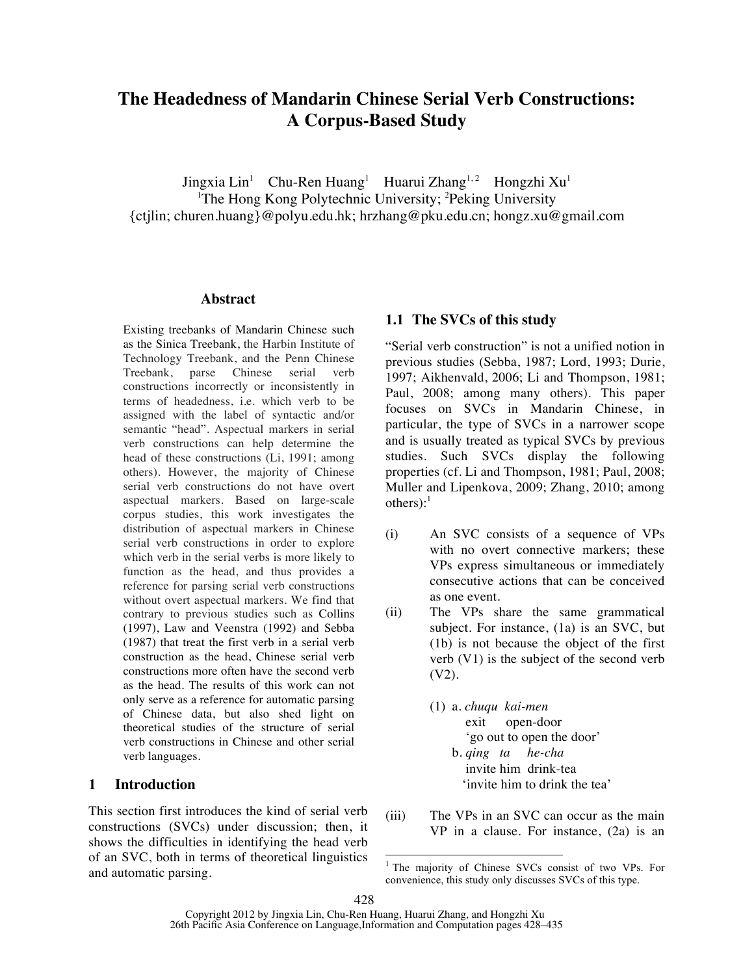# **The Headedness of Mandarin Chinese Serial Verb Constructions: A Corpus-Based Study**

Jingxia Lin<sup>1</sup> Chu-Ren Huang<sup>1</sup> Huarui Zhang<sup>1,2</sup> Hongzhi Xu<sup>1</sup> <sup>1</sup>The Hong Kong Polytechnic University; <sup>2</sup>Peking University {ctjlin; churen.huang}@polyu.edu.hk; hrzhang@pku.edu.cn; hongz.xu@gmail.com

#### **Abstract**

Existing treebanks of Mandarin Chinese such as the Sinica Treebank, the Harbin Institute of Technology Treebank, and the Penn Chinese Treebank, parse Chinese serial verb constructions incorrectly or inconsistently in terms of headedness, i.e. which verb to be assigned with the label of syntactic and/or semantic "head". Aspectual markers in serial verb constructions can help determine the head of these constructions (Li, 1991; among others). However, the majority of Chinese serial verb constructions do not have overt aspectual markers. Based on large-scale corpus studies, this work investigates the distribution of aspectual markers in Chinese serial verb constructions in order to explore which verb in the serial verbs is more likely to function as the head, and thus provides a reference for parsing serial verb constructions without overt aspectual markers. We find that contrary to previous studies such as Collins (1997), Law and Veenstra (1992) and Sebba (1987) that treat the first verb in a serial verb construction as the head, Chinese serial verb constructions more often have the second verb as the head. The results of this work can not only serve as a reference for automatic parsing of Chinese data, but also shed light on theoretical studies of the structure of serial verb constructions in Chinese and other serial verb languages.

### **1 Introduction**

This section first introduces the kind of serial verb constructions (SVCs) under discussion; then, it shows the difficulties in identifying the head verb of an SVC, both in terms of theoretical linguistics and automatic parsing.

### **1.1 The SVCs of this study**

"Serial verb construction" is not a unified notion in previous studies (Sebba, 1987; Lord, 1993; Durie, 1997; Aikhenvald, 2006; Li and Thompson, 1981; Paul, 2008; among many others). This paper focuses on SVCs in Mandarin Chinese, in particular, the type of SVCs in a narrower scope and is usually treated as typical SVCs by previous studies. Such SVCs display the following properties (cf. Li and Thompson, 1981; Paul, 2008; Muller and Lipenkova, 2009; Zhang, 2010; among  $others$ ):<sup>1</sup>

- (i) An SVC consists of a sequence of VPs with no overt connective markers; these VPs express simultaneous or immediately consecutive actions that can be conceived as one event.
- (ii) The VPs share the same grammatical subject. For instance, (1a) is an SVC, but (1b) is not because the object of the first verb (V1) is the subject of the second verb (V2).
	- (1) a. *chuqu kai-men* exit open-door 'go out to open the door' b. *qing ta he-cha* invite him drink-tea 'invite him to drink the tea'
- (iii) The VPs in an SVC can occur as the main VP in a clause. For instance, (2a) is an

<sup>&</sup>lt;sup>1</sup> The majority of Chinese SVCs consist of two VPs. For convenience, this study only discusses SVCs of this type.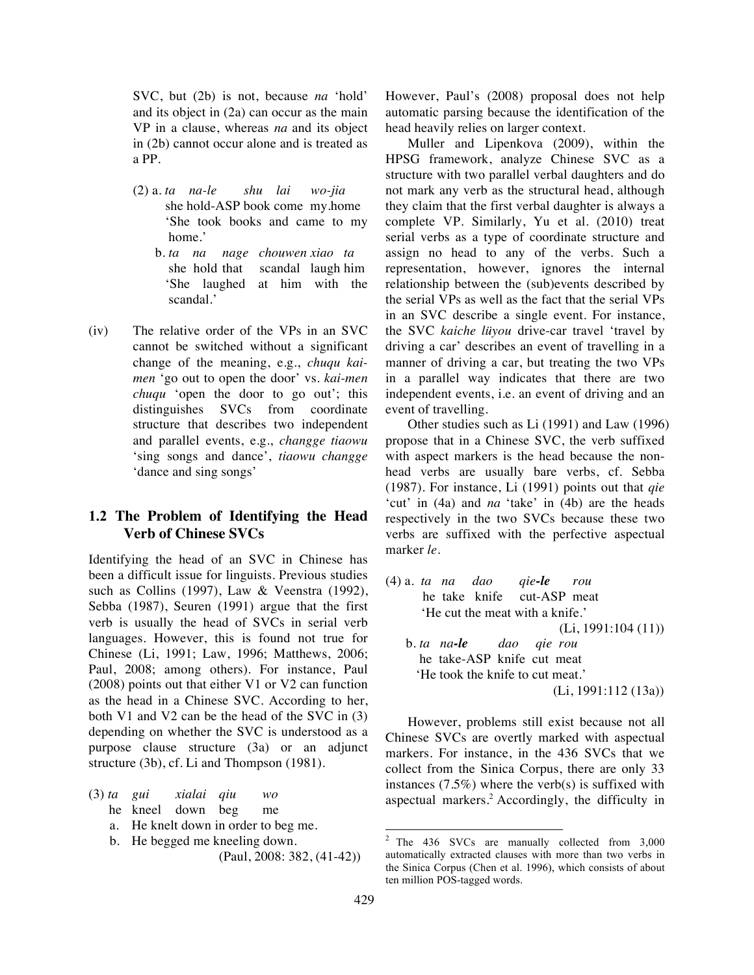SVC, but (2b) is not, because *na* 'hold' and its object in (2a) can occur as the main VP in a clause, whereas *na* and its object in (2b) cannot occur alone and is treated as a PP.

- (2) a. *ta na-le shu lai wo-jia* she hold-ASP book come my.home 'She took books and came to my home.'
	- b. *ta na nage chouwen xiao ta* she hold that scandal laugh him 'She laughed at him with the scandal.'
- (iv) The relative order of the VPs in an SVC cannot be switched without a significant change of the meaning, e.g., *chuqu kaimen* 'go out to open the door' vs. *kai-men chuqu* 'open the door to go out'; this distinguishes SVCs from coordinate structure that describes two independent and parallel events, e.g., *changge tiaowu* 'sing songs and dance', *tiaowu changge* 'dance and sing songs'

# **1.2 The Problem of Identifying the Head Verb of Chinese SVCs**

Identifying the head of an SVC in Chinese has been a difficult issue for linguists. Previous studies such as Collins (1997), Law & Veenstra (1992), Sebba (1987), Seuren (1991) argue that the first verb is usually the head of SVCs in serial verb languages. However, this is found not true for Chinese (Li, 1991; Law, 1996; Matthews, 2006; Paul, 2008; among others). For instance, Paul (2008) points out that either V1 or V2 can function as the head in a Chinese SVC. According to her, both V1 and V2 can be the head of the SVC in (3) depending on whether the SVC is understood as a purpose clause structure (3a) or an adjunct structure (3b), cf. Li and Thompson (1981).

|  | $(3)$ ta gui | xialai qiu | wo |
|--|--------------|------------|----|
|  |              |            |    |

- he kneel down beg me
- a. He knelt down in order to beg me.
- b. He begged me kneeling down.

(Paul, 2008: 382, (41-42))

However, Paul's (2008) proposal does not help automatic parsing because the identification of the head heavily relies on larger context.

Muller and Lipenkova (2009), within the HPSG framework, analyze Chinese SVC as a structure with two parallel verbal daughters and do not mark any verb as the structural head, although they claim that the first verbal daughter is always a complete VP. Similarly, Yu et al. (2010) treat serial verbs as a type of coordinate structure and assign no head to any of the verbs. Such a representation, however, ignores the internal relationship between the (sub)events described by the serial VPs as well as the fact that the serial VPs in an SVC describe a single event. For instance, the SVC *kaiche lüyou* drive-car travel 'travel by driving a car' describes an event of travelling in a manner of driving a car, but treating the two VPs in a parallel way indicates that there are two independent events, i.e. an event of driving and an event of travelling.

Other studies such as Li (1991) and Law (1996) propose that in a Chinese SVC, the verb suffixed with aspect markers is the head because the nonhead verbs are usually bare verbs, cf. Sebba (1987). For instance, Li (1991) points out that *qie* 'cut' in (4a) and *na* 'take' in (4b) are the heads respectively in the two SVCs because these two verbs are suffixed with the perfective aspectual marker *le*.

(4) a. *ta na dao qie-le rou* he take knife cut-ASP meat 'He cut the meat with a knife.' (Li, 1991:104 (11)) b. *ta na-le dao qie rou* he take-ASP knife cut meat 'He took the knife to cut meat.' (Li, 1991:112 (13a))

However, problems still exist because not all Chinese SVCs are overtly marked with aspectual markers. For instance, in the 436 SVCs that we collect from the Sinica Corpus, there are only 33 instances  $(7.5\%)$  where the verb(s) is suffixed with aspectual markers.<sup>2</sup> Accordingly, the difficulty in

 <sup>2</sup> The 436 SVCs are manually collected from 3,000 automatically extracted clauses with more than two verbs in the Sinica Corpus (Chen et al. 1996), which consists of about ten million POS-tagged words.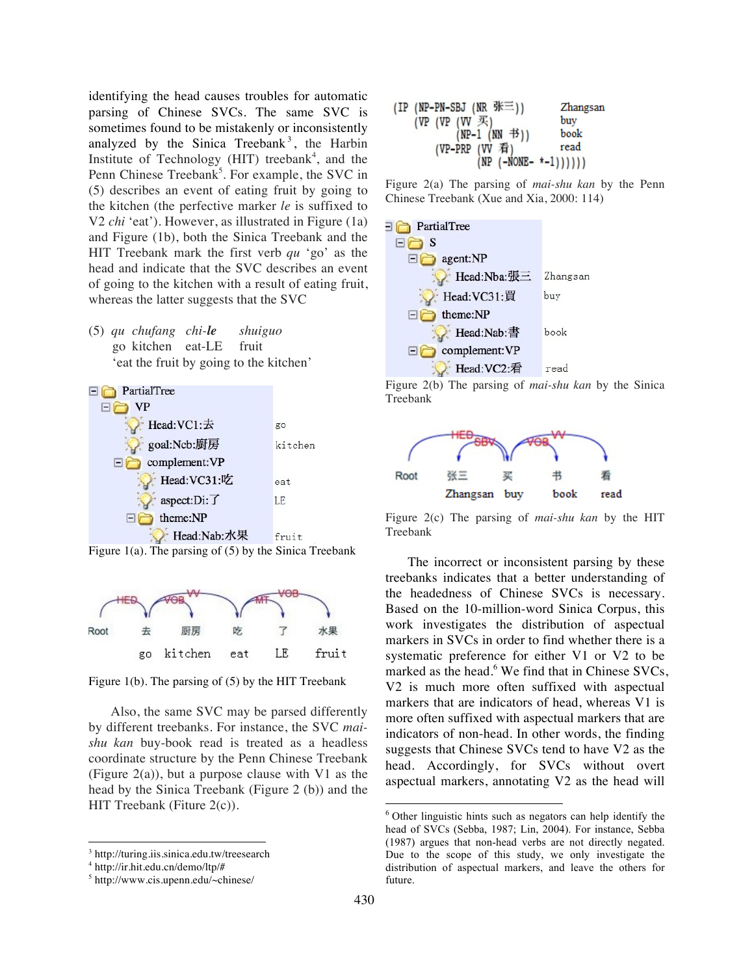identifying the head causes troubles for automatic parsing of Chinese SVCs. The same SVC is sometimes found to be mistakenly or inconsistently analyzed by the Sinica Treebank<sup>3</sup>, the Harbin Institute of Technology (HIT) treebank<sup>4</sup>, and the Penn Chinese Treebank<sup>5</sup>. For example, the SVC in (5) describes an event of eating fruit by going to the kitchen (the perfective marker *le* is suffixed to V2 *chi* 'eat'). However, as illustrated in Figure (1a) and Figure (1b), both the Sinica Treebank and the HIT Treebank mark the first verb *qu* 'go' as the head and indicate that the SVC describes an event of going to the kitchen with a result of eating fruit, whereas the latter suggests that the SVC

(5) *qu chufang chi-le shuiguo* go kitchen eat-LE fruit 'eat the fruit by going to the kitchen'



Figure 1(a). The parsing of (5) by the Sinica Treebank



Figure 1(b). The parsing of (5) by the HIT Treebank

Also, the same SVC may be parsed differently by different treebanks. For instance, the SVC *maishu kan* buy-book read is treated as a headless coordinate structure by the Penn Chinese Treebank (Figure  $2(a)$ ), but a purpose clause with V1 as the head by the Sinica Treebank (Figure 2 (b)) and the HIT Treebank (Fiture 2(c)).

 $\overline{a}$ 

| $(IP$ (NP-PN-SBJ (NR 张三))                          | Zhangsan |
|----------------------------------------------------|----------|
|                                                    | buv      |
| (VP (VP $(W \mathcal{F})$<br>(NP-1 (NN $\oplus$ )) | book     |
| (VP-PRP (VV 看)                                     | read     |
| $(NP (-NONE - * -1)))))$                           |          |

Figure 2(a) The parsing of *mai-shu kan* by the Penn Chinese Treebank (Xue and Xia, 2000: 114)



Figure 2(b) The parsing of *mai-shu kan* by the Sinica Treebank



Figure 2(c) The parsing of *mai-shu kan* by the HIT Treebank

The incorrect or inconsistent parsing by these treebanks indicates that a better understanding of the headedness of Chinese SVCs is necessary. Based on the 10-million-word Sinica Corpus, this work investigates the distribution of aspectual markers in SVCs in order to find whether there is a systematic preference for either V1 or V2 to be marked as the head.<sup>6</sup> We find that in Chinese SVCs, V2 is much more often suffixed with aspectual markers that are indicators of head, whereas V1 is more often suffixed with aspectual markers that are indicators of non-head. In other words, the finding suggests that Chinese SVCs tend to have V2 as the head. Accordingly, for SVCs without overt aspectual markers, annotating V2 as the head will

<sup>3</sup> http://turing.iis.sinica.edu.tw/treesearch

<sup>4</sup> http://ir.hit.edu.cn/demo/ltp/#

<sup>5</sup> http://www.cis.upenn.edu/~chinese/

 $6$  Other linguistic hints such as negators can help identify the head of SVCs (Sebba, 1987; Lin, 2004). For instance, Sebba (1987) argues that non-head verbs are not directly negated. Due to the scope of this study, we only investigate the distribution of aspectual markers, and leave the others for future.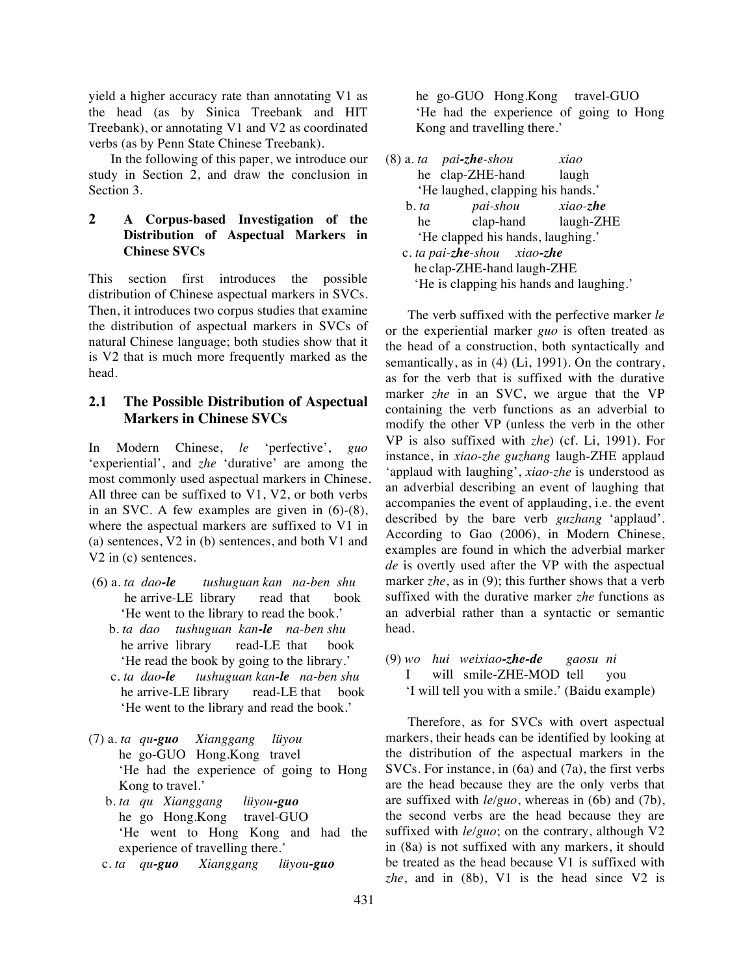yield a higher accuracy rate than annotating V1 as the head (as by Sinica Treebank and HIT Treebank), or annotating V1 and V2 as coordinated verbs (as by Penn State Chinese Treebank).

In the following of this paper, we introduce our study in Section 2, and draw the conclusion in Section 3.

## **2 A Corpus-based Investigation of the Distribution of Aspectual Markers in Chinese SVCs**

This section first introduces the possible distribution of Chinese aspectual markers in SVCs. Then, it introduces two corpus studies that examine the distribution of aspectual markers in SVCs of natural Chinese language; both studies show that it is V2 that is much more frequently marked as the head.

# **2.1 The Possible Distribution of Aspectual Markers in Chinese SVCs**

In Modern Chinese, *le* 'perfective', *guo* 'experiential', and *zhe* 'durative' are among the most commonly used aspectual markers in Chinese. All three can be suffixed to V1, V2, or both verbs in an SVC. A few examples are given in (6)-(8), where the aspectual markers are suffixed to V1 in (a) sentences, V2 in (b) sentences, and both V1 and V2 in (c) sentences.

- (6) a. *ta dao-le tushuguan kan na-ben shu* he arrive-LE library read that book 'He went to the library to read the book.'
	- b. *ta dao tushuguan kan-le na-ben shu* he arrive library read-LE that book 'He read the book by going to the library.'
	- c. *ta dao-le tushuguan kan-le na-ben shu* he arrive-LE library read-LE that book 'He went to the library and read the book.'
- (7) a. *ta qu-guo Xianggang lüyou* he go-GUO Hong.Kong travel 'He had the experience of going to Hong Kong to travel.'
	- b. *ta qu Xianggang lüyou-guo* he go Hong.Kong travel-GUO 'He went to Hong Kong and had the experience of travelling there.'
	- c. *ta qu-guo Xianggang lüyou-guo*

 he go-GUO Hong.Kong travel-GUO 'He had the experience of going to Hong Kong and travelling there.'

|                  | $(8)$ a. ta pai-zhe-shou                 | xiao        |
|------------------|------------------------------------------|-------------|
|                  | he clap-ZHE-hand                         | laugh       |
|                  | 'He laughed, clapping his hands.'        |             |
| $\mathbf b$ . ta | pai-shou                                 | $xiao$ -zhe |
| he               | clap-hand                                | laugh-ZHE   |
|                  | 'He clapped his hands, laughing.'        |             |
|                  | c. ta pai-zhe-shou xiao-zhe              |             |
|                  | he clap-ZHE-hand laugh-ZHE               |             |
|                  | 'He is clapping his hands and laughing.' |             |
|                  |                                          |             |

The verb suffixed with the perfective marker *le* or the experiential marker *guo* is often treated as the head of a construction, both syntactically and semantically, as in (4) (Li, 1991). On the contrary, as for the verb that is suffixed with the durative marker *zhe* in an SVC, we argue that the VP containing the verb functions as an adverbial to modify the other VP (unless the verb in the other VP is also suffixed with *zhe*) (cf. Li, 1991). For instance, in *xiao-zhe guzhang* laugh-ZHE applaud 'applaud with laughing', *xiao-zhe* is understood as an adverbial describing an event of laughing that accompanies the event of applauding, i.e. the event described by the bare verb *guzhang* 'applaud'. According to Gao (2006), in Modern Chinese, examples are found in which the adverbial marker *de* is overtly used after the VP with the aspectual marker *zhe*, as in (9); this further shows that a verb suffixed with the durative marker *zhe* functions as an adverbial rather than a syntactic or semantic head.

(9) *wo hui weixiao-zhe-de gaosu ni* I will smile-ZHE-MOD tell you 'I will tell you with a smile.' (Baidu example)

Therefore, as for SVCs with overt aspectual markers, their heads can be identified by looking at the distribution of the aspectual markers in the SVCs. For instance, in (6a) and (7a), the first verbs are the head because they are the only verbs that are suffixed with *le/guo*, whereas in (6b) and (7b), the second verbs are the head because they are suffixed with *le/guo*; on the contrary, although V2 in (8a) is not suffixed with any markers, it should be treated as the head because V1 is suffixed with *zhe*, and in (8b), V1 is the head since V2 is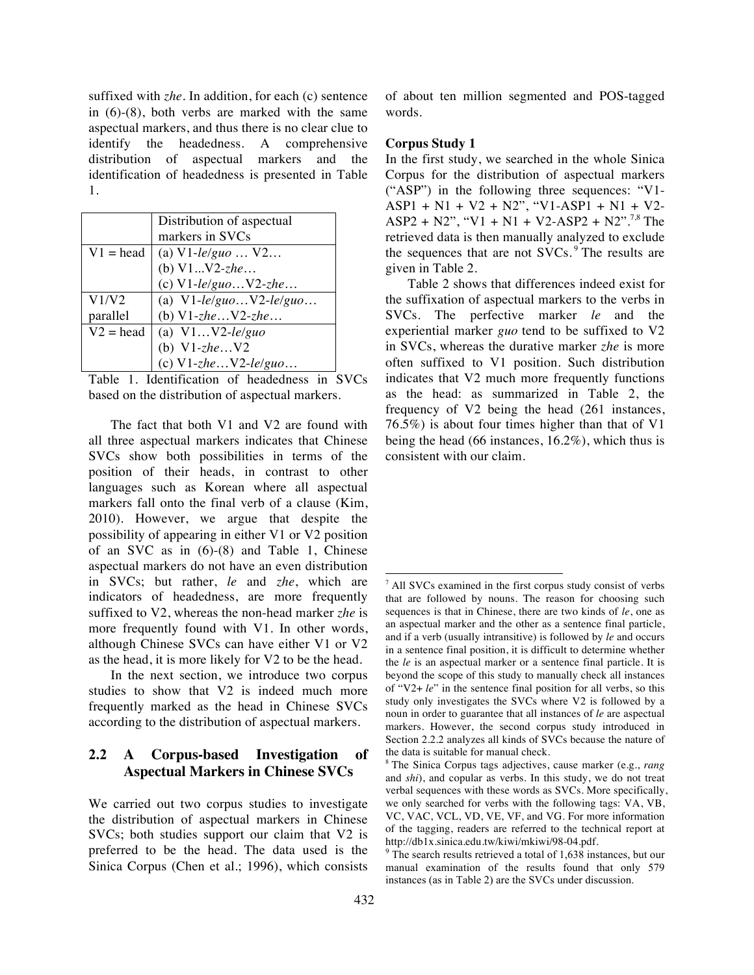suffixed with *zhe*. In addition, for each (c) sentence in (6)-(8), both verbs are marked with the same aspectual markers, and thus there is no clear clue to identify the headedness. A comprehensive distribution of aspectual markers and the identification of headedness is presented in Table 1.

|             | Distribution of aspectual  |
|-------------|----------------------------|
|             | markers in SVCs            |
| $V1 = head$ | (a) $V1$ -le/guo $V2$      |
|             | (b) $V1V2$ -zhe            |
|             | (c) $V1$ -le/guo $V2$ -zhe |
| V1/V2       | (a) $V1-le/guoV2-le/guo$   |
| parallel    | (b) $V1$ -zhe $V2$ -zhe    |
| $V2 = head$ | (a) $V1V2$ -le/guo         |
|             | (b) $V1$ -zhe $V2$         |
|             | (c) $V1$ -zhe $V2$ -le/guo |

Table 1. Identification of headedness in SVCs based on the distribution of aspectual markers.

The fact that both V1 and V2 are found with all three aspectual markers indicates that Chinese SVCs show both possibilities in terms of the position of their heads, in contrast to other languages such as Korean where all aspectual markers fall onto the final verb of a clause (Kim, 2010). However, we argue that despite the possibility of appearing in either V1 or V2 position of an SVC as in (6)-(8) and Table 1, Chinese aspectual markers do not have an even distribution in SVCs; but rather, *le* and *zhe*, which are indicators of headedness, are more frequently suffixed to V2, whereas the non-head marker *zhe* is more frequently found with V1. In other words, although Chinese SVCs can have either V1 or V2 as the head, it is more likely for V2 to be the head.

In the next section, we introduce two corpus studies to show that V2 is indeed much more frequently marked as the head in Chinese SVCs according to the distribution of aspectual markers.

# **2.2 A Corpus-based Investigation of Aspectual Markers in Chinese SVCs**

We carried out two corpus studies to investigate the distribution of aspectual markers in Chinese SVCs; both studies support our claim that V2 is preferred to be the head. The data used is the Sinica Corpus (Chen et al.; 1996), which consists of about ten million segmented and POS-tagged words.

### **Corpus Study 1**

In the first study, we searched in the whole Sinica Corpus for the distribution of aspectual markers ("ASP") in the following three sequences: "V1- ASP1 + N1 + V2 + N2", "V1-ASP1 + N1 + V2-  $ASP2 + N2$ ", "V1 + N1 + V2-ASP2 + N2".<sup>7,8</sup> The retrieved data is then manually analyzed to exclude the sequences that are not  $SVCs$ . <sup>9</sup> The results are given in Table 2.

Table 2 shows that differences indeed exist for the suffixation of aspectual markers to the verbs in SVCs. The perfective marker *le* and the experiential marker *guo* tend to be suffixed to V2 in SVCs, whereas the durative marker *zhe* is more often suffixed to V1 position. Such distribution indicates that V2 much more frequently functions as the head: as summarized in Table 2, the frequency of V2 being the head (261 instances, 76.5%) is about four times higher than that of V1 being the head (66 instances, 16.2%), which thus is consistent with our claim.

 $\overline{a}$ 

 $<sup>7</sup>$  All SVCs examined in the first corpus study consist of verbs</sup> that are followed by nouns. The reason for choosing such sequences is that in Chinese, there are two kinds of *le*, one as an aspectual marker and the other as a sentence final particle, and if a verb (usually intransitive) is followed by *le* and occurs in a sentence final position, it is difficult to determine whether the *le* is an aspectual marker or a sentence final particle. It is beyond the scope of this study to manually check all instances of "V2+ *le*" in the sentence final position for all verbs, so this study only investigates the SVCs where V2 is followed by a noun in order to guarantee that all instances of *le* are aspectual markers. However, the second corpus study introduced in Section 2.2.2 analyzes all kinds of SVCs because the nature of the data is suitable for manual check. 8 The Sinica Corpus tags adjectives, cause marker (e.g., *rang*

and *shi*), and copular as verbs. In this study, we do not treat verbal sequences with these words as SVCs. More specifically, we only searched for verbs with the following tags: VA, VB, VC, VAC, VCL, VD, VE, VF, and VG. For more information of the tagging, readers are referred to the technical report at http://db1x.sinica.edu.tw/kiwi/mkiwi/98-04.pdf.<br><sup>9</sup> The search results retrieved a total of 1,638 instances, but our

manual examination of the results found that only 579 instances (as in Table 2) are the SVCs under discussion.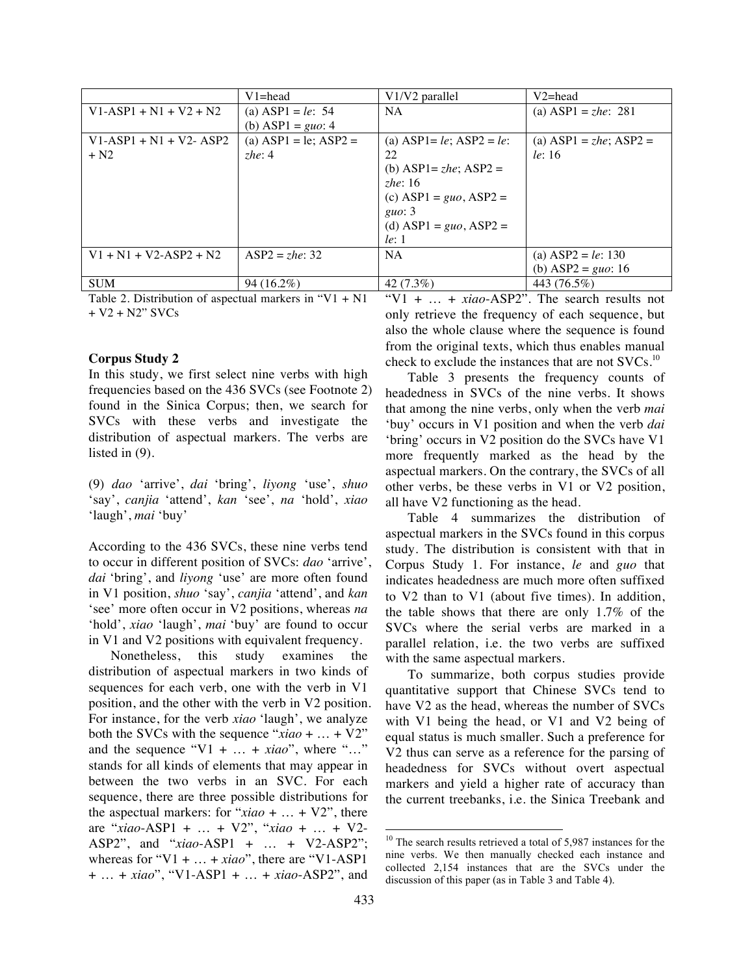|                          | $V1 = head$                | V1/V2 parallel                  | $V2 = head$                    |
|--------------------------|----------------------------|---------------------------------|--------------------------------|
| $V1-ASP1 + N1 + V2 + N2$ | (a) ASP1 = le: 54          | <b>NA</b>                       | (a) ASP1 = $zhe$ : 281         |
|                          | (b) ASP1 = $guo: 4$        |                                 |                                |
| $V1-ASP1 + N1 + V2-ASP2$ | (a) $ASP1 = le$ ; $ASP2 =$ | (a) $ASP1 = le$ ; $ASP2 = le$ : | (a) ASP1 = <i>zhe</i> ; ASP2 = |
| $+ N2$                   | zhe: $4$                   | 22                              | le: 16                         |
|                          |                            | (b) ASP1= $zhe$ ; ASP2 =        |                                |
|                          |                            | zhe: $16$                       |                                |
|                          |                            | (c) ASP1 = $guo$ , ASP2 =       |                                |
|                          |                            | guo: $3$                        |                                |
|                          |                            | (d) ASP1 = $guo$ , ASP2 =       |                                |
|                          |                            | le: 1                           |                                |
| $V1 + N1 + V2-ASP2 + N2$ | $ASP2 = zhe: 32$           | NA.                             | (a) $ASP2 = le: 130$           |
|                          |                            |                                 | (b) ASP2 = $guo: 16$           |
| <b>SUM</b>               | 94 (16.2%)                 | $42(7.3\%)$                     | 443 (76.5%)                    |

Table 2. Distribution of aspectual markers in " $V1 + N1$ + V2 + N2" SVCs

#### **Corpus Study 2**

In this study, we first select nine verbs with high frequencies based on the 436 SVCs (see Footnote 2) found in the Sinica Corpus; then, we search for SVCs with these verbs and investigate the distribution of aspectual markers. The verbs are listed in (9).

(9) *dao* 'arrive', *dai* 'bring', *liyong* 'use', *shuo* 'say', *canjia* 'attend', *kan* 'see', *na* 'hold', *xiao* 'laugh', *mai* 'buy'

According to the 436 SVCs, these nine verbs tend to occur in different position of SVCs: *dao* 'arrive', *dai* 'bring', and *liyong* 'use' are more often found in V1 position, *shuo* 'say', *canjia* 'attend', and *kan* 'see' more often occur in V2 positions, whereas *na* 'hold', *xiao* 'laugh', *mai* 'buy' are found to occur in V1 and V2 positions with equivalent frequency.

Nonetheless, this study examines the distribution of aspectual markers in two kinds of sequences for each verb, one with the verb in V1 position, and the other with the verb in V2 position. For instance, for the verb *xiao* 'laugh', we analyze both the SVCs with the sequence "*xiao* + … + V2" and the sequence " $V1 + \ldots + xiao$ ", where "..." stands for all kinds of elements that may appear in between the two verbs in an SVC. For each sequence, there are three possible distributions for the aspectual markers: for " $xiao + ... + V2$ ", there are "*xiao*-ASP1 + … + V2", "*xiao* + … + V2- ASP2", and "*xiao*-ASP1 + … + V2-ASP2"; whereas for "V1 + … + *xiao*", there are "V1-ASP1 + … + *xiao*", "V1-ASP1 + … + *xiao*-ASP2", and

"V1 + … + *xiao*-ASP2". The search results not only retrieve the frequency of each sequence, but also the whole clause where the sequence is found from the original texts, which thus enables manual check to exclude the instances that are not SVCs.<sup>10</sup>

Table 3 presents the frequency counts of headedness in SVCs of the nine verbs. It shows that among the nine verbs, only when the verb *mai* 'buy' occurs in V1 position and when the verb *dai*  'bring' occurs in V2 position do the SVCs have V1 more frequently marked as the head by the aspectual markers. On the contrary, the SVCs of all other verbs, be these verbs in V1 or V2 position, all have V2 functioning as the head.

Table 4 summarizes the distribution of aspectual markers in the SVCs found in this corpus study. The distribution is consistent with that in Corpus Study 1. For instance, *le* and *guo* that indicates headedness are much more often suffixed to V2 than to V1 (about five times). In addition, the table shows that there are only 1.7% of the SVCs where the serial verbs are marked in a parallel relation, i.e. the two verbs are suffixed with the same aspectual markers.

To summarize, both corpus studies provide quantitative support that Chinese SVCs tend to have V2 as the head, whereas the number of SVCs with V1 being the head, or V1 and V2 being of equal status is much smaller. Such a preference for V2 thus can serve as a reference for the parsing of headedness for SVCs without overt aspectual markers and yield a higher rate of accuracy than the current treebanks, i.e. the Sinica Treebank and

<sup>&</sup>lt;sup>10</sup> The search results retrieved a total of 5,987 instances for the nine verbs. We then manually checked each instance and collected 2,154 instances that are the SVCs under the discussion of this paper (as in Table 3 and Table 4).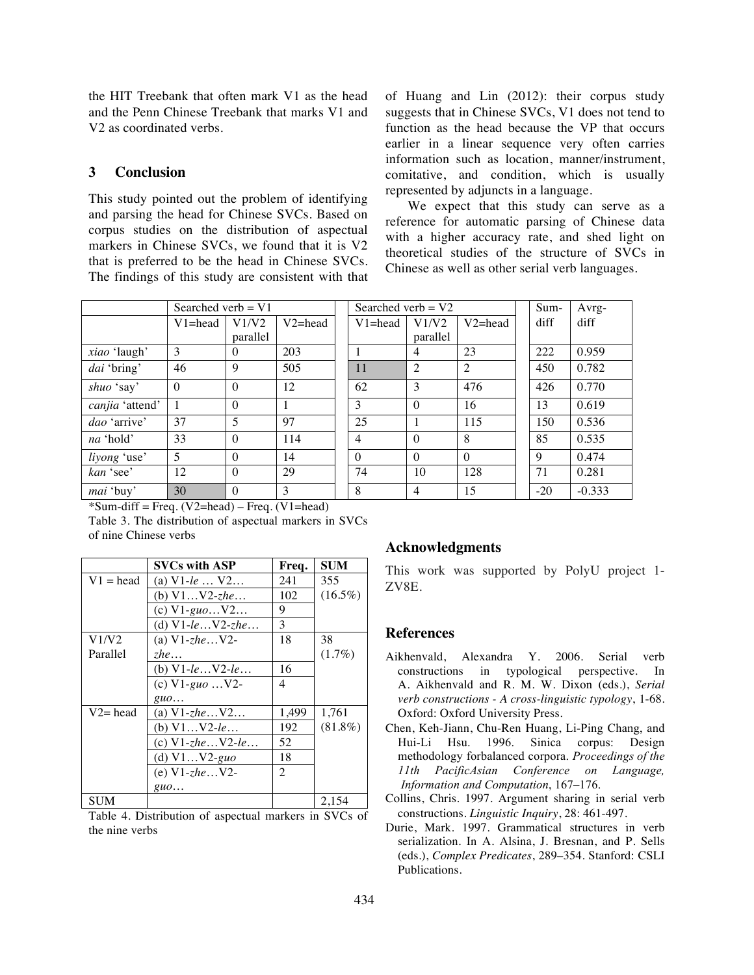the HIT Treebank that often mark V1 as the head and the Penn Chinese Treebank that marks V1 and V2 as coordinated verbs.

#### **3 Conclusion**

This study pointed out the problem of identifying and parsing the head for Chinese SVCs. Based on corpus studies on the distribution of aspectual markers in Chinese SVCs, we found that it is V2 that is preferred to be the head in Chinese SVCs. The findings of this study are consistent with that

|                     | Searched verb $= V1$ |                          |             | Searched verb = $V2$ |                | Sum-           | Avrg- |          |
|---------------------|----------------------|--------------------------|-------------|----------------------|----------------|----------------|-------|----------|
|                     | $V1 = head$          | V1/V2                    | $V2 = head$ | $V1 = head$          | V1/V2          | $V2 = head$    | diff  | diff     |
|                     |                      | parallel                 |             |                      | parallel       |                |       |          |
| <i>xiao</i> 'laugh' | 3                    | $\Omega$                 | 203         |                      | $\overline{4}$ | 23             | 222   | 0.959    |
| dai 'bring'         | 46                   | 9                        | 505         | 11                   | $\overline{2}$ | $\overline{2}$ | 450   | 0.782    |
| shuo 'say'          | $\Omega$             | $\Omega$                 | 12          | 62                   | 3              | 476            | 426   | 0.770    |
| canjia 'attend'     |                      | $\Omega$                 | 1           | 3                    | $\Omega$       | 16             | 13    | 0.619    |
| <i>dao</i> 'arrive' | 37                   | $\overline{\phantom{0}}$ | 97          | 25                   |                | 115            | 150   | 0.536    |
| <i>na</i> 'hold'    | 33                   | $\Omega$                 | 114         | $\overline{4}$       | $\Omega$       | 8              | 85    | 0.535    |
| liyong 'use'        | 5                    | $\Omega$                 | 14          | $\theta$             | $\Omega$       | $\Omega$       | 9     | 0.474    |
| kan 'see'           | 12                   | $\Omega$                 | 29          | 74                   | 10             | 128            | 71    | 0.281    |
| <i>mai</i> 'buy'    | 30                   | $\Omega$                 | 3           | 8                    | $\overline{4}$ | 15             | $-20$ | $-0.333$ |

 $*Sum-diff = Freq. (V2=head) - Freq. (V1=head)$ 

Table 3. The distribution of aspectual markers in SVCs of nine Chinese verbs

|             | <b>SVCs with ASP</b>         | Freq. | <b>SUM</b> |
|-------------|------------------------------|-------|------------|
| $V1 = head$ | (a) $V1$ -le $V2$            | 241   | 355        |
|             | (b) $V1V2-zhe$               | 102   | $(16.5\%)$ |
|             | (c) $V1-guoV2$               | 9     |            |
|             | (d) $V1-leV2-zhe$            | 3     |            |
| V1/V2       | (a) $V1$ -zhe $V2$ -         | 18    | 38         |
| Parallel    | <i>zhe</i>                   |       | $(1.7\%)$  |
|             | (b) $V1-leV2-le$             | 16    |            |
|             | (c) $V1-guo$ $V2-$           | 4     |            |
|             | guo                          |       |            |
| $V2 = head$ | (a) $V1$ - <i>zhe</i> $V2$   | 1,499 | 1,761      |
|             | (b) $V1V2-le$                | 192   | $(81.8\%)$ |
|             | (c) $V1$ -zhe $V2$ -le       | 52    |            |
|             | (d) $V1V2-guo$               | 18    |            |
|             | (e) $V1$ - <i>zhe</i> $V2$ - | 2     |            |
|             | guo                          |       |            |
| <b>SUM</b>  |                              |       | 2,154      |

Table 4. Distribution of aspectual markers in SVCs of the nine verbs

### **Acknowledgments**

This work was supported by PolyU project 1- ZV8E.

#### **References**

- Aikhenvald, Alexandra Y. 2006. Serial verb constructions in typological perspective. In A. Aikhenvald and R. M. W. Dixon (eds.), *Serial verb constructions - A cross-linguistic typology*, 1-68. Oxford: Oxford University Press.
- Chen, Keh-Jiann, Chu-Ren Huang, Li-Ping Chang, and Hui-Li Hsu. 1996. Sinica corpus: Design methodology forbalanced corpora. *Proceedings of the 11th PacificAsian Conference on Language, Information and Computation*, 167–176.
- Collins, Chris. 1997. Argument sharing in serial verb constructions. *Linguistic Inquiry*, 28: 461-497.
- Durie, Mark. 1997. Grammatical structures in verb serialization. In A. Alsina, J. Bresnan, and P. Sells (eds.), *Complex Predicates*, 289–354. Stanford: CSLI Publications.

We expect that this study can serve as a reference for automatic parsing of Chinese data with a higher accuracy rate, and shed light on theoretical studies of the structure of SVCs in Chinese as well as other serial verb languages.